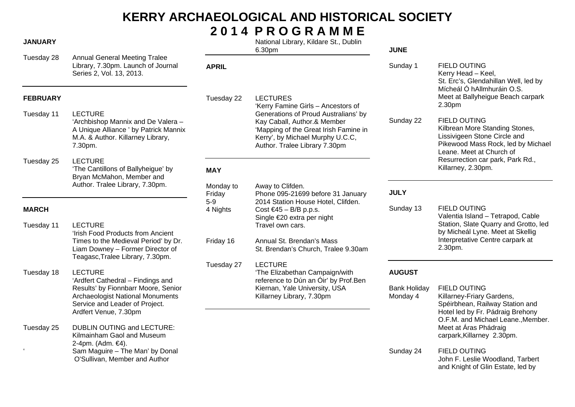# **KERRY ARCHAEOLOGICAL AND HISTORICAL SOCIETY 2 0 1 4 P R O G R A M M E**

### **JANUARY**

Tuesday 28 Annual General Meeting Tralee Library, 7.30pm. Launch of Journal Series 2, Vol. 13, 2013.

## **FEBRUARY**

- Tuesday 11 LECTURE 'Archbishop Mannix and De Valera – A Unique Alliance ' by Patrick Mannix M.A. & Author. Killarney Library, 7.30pm.
- Tuesday 25 LECTURE 'The Cantillons of Ballyheigue' by Bryan McMahon, Member and Author. Tralee Library, 7.30pm.

## **MARCH**

Tuesday 11 LECTURE 'Irish Food Products from Ancient Times to the Medieval Period' by Dr. Liam Downey – Former Director of Teagasc,Tralee Library, 7.30pm. Tuesday 18 LECTURE 'Ardfert Cathedral – Findings and Results' by Fionnbarr Moore, Senior Archaeologist National Monuments Service and Leader of Project. Ardfert Venue, 7.30pm Tuesday 25 DUBLIN OUTING and LECTURE: Kilmainham Gaol and Museum 2-4pm. (Adm. €4). Sam Maguire – The Man' by Donal O'Sullivan, Member and Author

 National Library, Kildare St., Dublin 6.30pm

'Kerry Famine Girls – Ancestors of Generations of Proud Australians' by Kay Caball, Author.& Member

'Mapping of the Great Irish Famine in Kerry', by Michael Murphy U.C.C, Author. Tralee Library 7.30pm

## **JUNE**

- Sunday 1 FIELD OUTING Kerry Head – Keel, St. Erc's, Glendahillan Well, led by Mícheál Ó hAllmhuráin O.S. Meet at Ballyheigue Beach carpark 2.30pm
- Sunday 22 FIELD OUTING Kilbrean More Standing Stones, Lissivigeen Stone Circle and Pikewood Mass Rock, led by Michael Leane. Meet at Church of Resurrection car park, Park Rd., Killarney, 2.30pm.

## **JULY**

Sunday 13 FIELD OUTING Valentia Island – Tetrapod, Cable Station, Slate Quarry and Grotto, led by Micheál Lyne. Meet at Skellig Interpretative Centre carpark at 2.30pm.

## **AUGUST**

- Bank Holiday FIELD OUTING Monday 4 Killarney-Friary Gardens, Spéirbhean, Railway Station and Hotel led by Fr. Pádraig Brehony O.F.M. and Michael Leane.,Member. Meet at Áras Phádraig carpark,Killarney 2.30pm.
- Sunday 24 FIELD OUTING John F. Leslie Woodland, Tarbert and Knight of Glin Estate, led by

## Monday to Away to Clifden. Friday Phone 095-21699 before 31 January 5-9 2014 Station House Hotel, Clifden. 4 Nights Cost  $\epsilon$ 45 – B/B p.p.s. Single €20 extra per night Travel own cars. Friday 16 Annual St. Brendan's Mass St. Brendan's Church, Tralee 9.30am Tuesday 27 LECTURE 'The Elizabethan Campaign/with reference to Dún an Óir' by Prof.Ben Kiernan, Yale University, USA Killarney Library, 7.30pm

**MAY** 

**APRIL** 

Tuesday 22 LECTURES